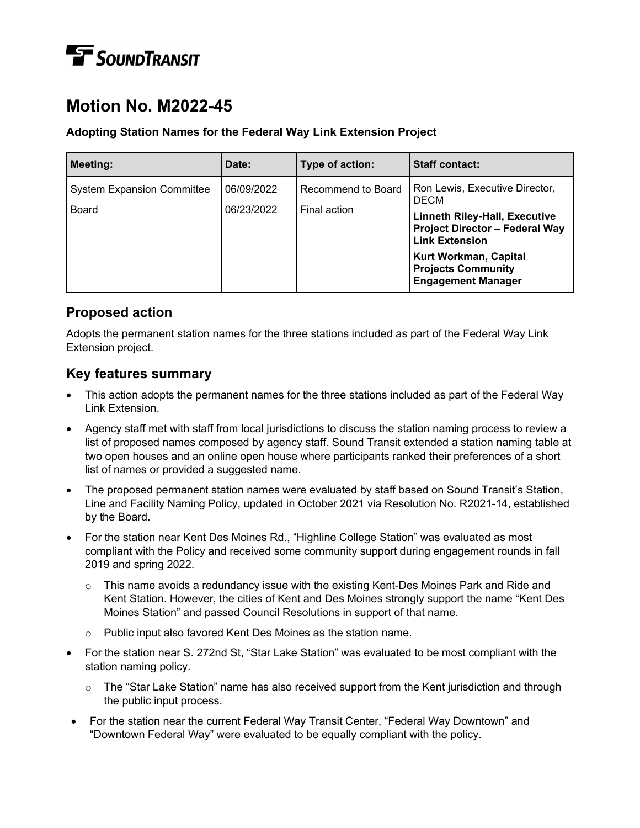# **TE** SOUNDTRANSIT

# **Motion No. M2022-45**

#### **Adopting Station Names for the Federal Way Link Extension Project**

| Meeting:                                   | Date:                    | Type of action:                    | <b>Staff contact:</b>                                                                                                                                                                                                                      |
|--------------------------------------------|--------------------------|------------------------------------|--------------------------------------------------------------------------------------------------------------------------------------------------------------------------------------------------------------------------------------------|
| <b>System Expansion Committee</b><br>Board | 06/09/2022<br>06/23/2022 | Recommend to Board<br>Final action | Ron Lewis, Executive Director,<br><b>DECM</b><br><b>Linneth Riley-Hall, Executive</b><br><b>Project Director - Federal Way</b><br><b>Link Extension</b><br>Kurt Workman, Capital<br><b>Projects Community</b><br><b>Engagement Manager</b> |

## **Proposed action**

Adopts the permanent station names for the three stations included as part of the Federal Way Link Extension project.

### **Key features summary**

- This action adopts the permanent names for the three stations included as part of the Federal Way Link Extension.
- Agency staff met with staff from local jurisdictions to discuss the station naming process to review a list of proposed names composed by agency staff. Sound Transit extended a station naming table at two open houses and an online open house where participants ranked their preferences of a short list of names or provided a suggested name.
- The proposed permanent station names were evaluated by staff based on Sound Transit's Station, Line and Facility Naming Policy, updated in October 2021 via Resolution No. R2021-14, established by the Board.
- For the station near Kent Des Moines Rd., "Highline College Station" was evaluated as most compliant with the Policy and received some community support during engagement rounds in fall 2019 and spring 2022.
	- $\circ$  This name avoids a redundancy issue with the existing Kent-Des Moines Park and Ride and Kent Station. However, the cities of Kent and Des Moines strongly support the name "Kent Des Moines Station" and passed Council Resolutions in support of that name.
	- o Public input also favored Kent Des Moines as the station name.
- For the station near S. 272nd St, "Star Lake Station" was evaluated to be most compliant with the station naming policy.
	- $\circ$  The "Star Lake Station" name has also received support from the Kent jurisdiction and through the public input process.
- For the station near the current Federal Way Transit Center, "Federal Way Downtown" and "Downtown Federal Way" were evaluated to be equally compliant with the policy.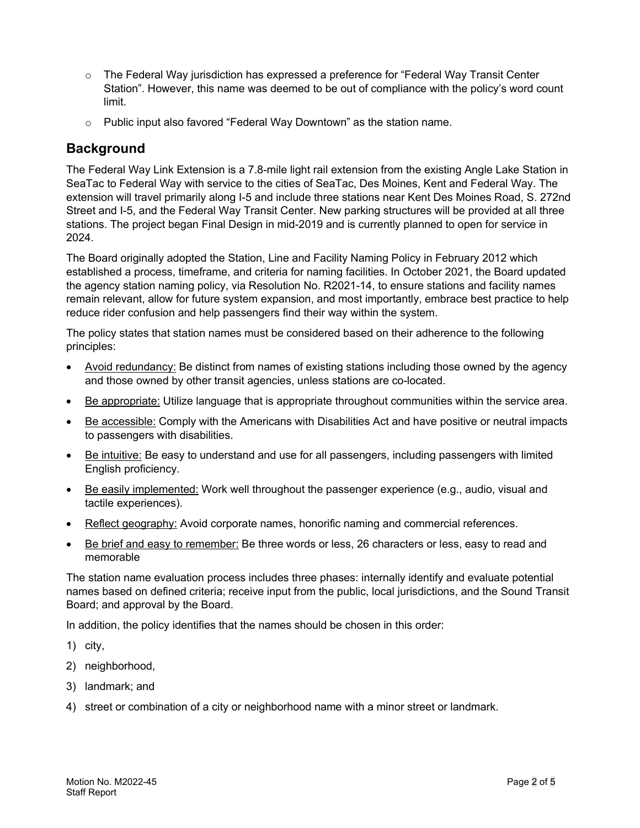- $\circ$  The Federal Way jurisdiction has expressed a preference for "Federal Way Transit Center Station". However, this name was deemed to be out of compliance with the policy's word count limit.
- $\circ$  Public input also favored "Federal Way Downtown" as the station name.

#### **Background**

The Federal Way Link Extension is a 7.8-mile light rail extension from the existing Angle Lake Station in SeaTac to Federal Way with service to the cities of SeaTac, Des Moines, Kent and Federal Way. The extension will travel primarily along I-5 and include three stations near Kent Des Moines Road, S. 272nd Street and I-5, and the Federal Way Transit Center. New parking structures will be provided at all three stations. The project began Final Design in mid-2019 and is currently planned to open for service in 2024.

The Board originally adopted the Station, Line and Facility Naming Policy in February 2012 which established a process, timeframe, and criteria for naming facilities. In October 2021, the Board updated the agency station naming policy, via Resolution No. R2021-14, to ensure stations and facility names remain relevant, allow for future system expansion, and most importantly, embrace best practice to help reduce rider confusion and help passengers find their way within the system.

The policy states that station names must be considered based on their adherence to the following principles:

- Avoid redundancy: Be distinct from names of existing stations including those owned by the agency and those owned by other transit agencies, unless stations are co-located.
- Be appropriate: Utilize language that is appropriate throughout communities within the service area.
- Be accessible: Comply with the Americans with Disabilities Act and have positive or neutral impacts to passengers with disabilities.
- Be intuitive: Be easy to understand and use for all passengers, including passengers with limited English proficiency.
- Be easily implemented: Work well throughout the passenger experience (e.g., audio, visual and tactile experiences).
- Reflect geography: Avoid corporate names, honorific naming and commercial references.
- Be brief and easy to remember: Be three words or less, 26 characters or less, easy to read and memorable

The station name evaluation process includes three phases: internally identify and evaluate potential names based on defined criteria; receive input from the public, local jurisdictions, and the Sound Transit Board; and approval by the Board.

In addition, the policy identifies that the names should be chosen in this order:

- 1) city,
- 2) neighborhood,
- 3) landmark; and
- 4) street or combination of a city or neighborhood name with a minor street or landmark.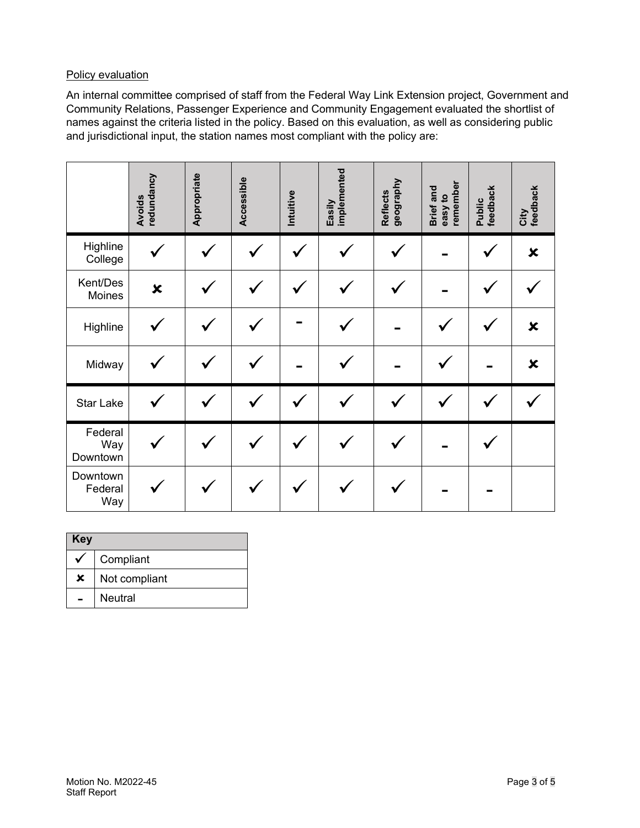#### Policy evaluation

An internal committee comprised of staff from the Federal Way Link Extension project, Government and Community Relations, Passenger Experience and Community Engagement evaluated the shortlist of names against the criteria listed in the policy. Based on this evaluation, as well as considering public and jurisdictional input, the station names most compliant with the policy are:

|                            | redundancy<br><b>Avoids</b> | Appropriate | Accessible | Intuitive | Easily<br>implemented | geography<br><b>Reflects</b> | easy to<br>remember<br>Brief and | Public<br>feedback | City<br>feedback          |
|----------------------------|-----------------------------|-------------|------------|-----------|-----------------------|------------------------------|----------------------------------|--------------------|---------------------------|
| Highline<br>College        |                             |             |            |           |                       |                              |                                  |                    | $\boldsymbol{\mathsf{x}}$ |
| Kent/Des<br>Moines         | $\boldsymbol{\mathsf{x}}$   |             |            |           |                       |                              |                                  |                    |                           |
| Highline                   |                             |             |            |           |                       |                              |                                  |                    | $\boldsymbol{\mathsf{x}}$ |
| Midway                     |                             |             |            |           |                       |                              |                                  |                    | $\boldsymbol{\mathsf{x}}$ |
| <b>Star Lake</b>           |                             |             |            |           |                       |                              |                                  |                    |                           |
| Federal<br>Way<br>Downtown |                             |             |            |           |                       |                              |                                  |                    |                           |
| Downtown<br>Federal<br>Way |                             |             |            |           |                       |                              |                                  |                    |                           |

| Key |               |
|-----|---------------|
|     | Compliant     |
| ×   | Not compliant |
|     | Neutral       |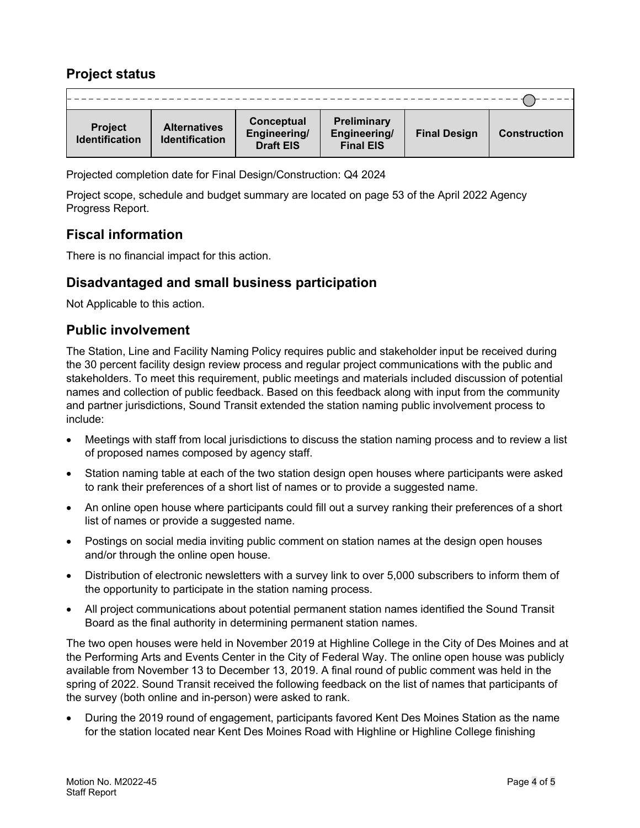### **Project status**

| <b>Project</b><br><b>Identification</b> | <b>Alternatives</b><br><b>Identification</b> | Conceptual<br>Engineering/<br><b>Draft EIS</b> | <b>Preliminary</b><br>Engineering/<br><b>Final EIS</b> | <b>Final Design</b> | <b>Construction</b> |
|-----------------------------------------|----------------------------------------------|------------------------------------------------|--------------------------------------------------------|---------------------|---------------------|

Projected completion date for Final Design/Construction: Q4 2024

Project scope, schedule and budget summary are located on page 53 of the April 2022 Agency Progress Report.

#### **Fiscal information**

There is no financial impact for this action.

#### **Disadvantaged and small business participation**

Not Applicable to this action.

#### **Public involvement**

The Station, Line and Facility Naming Policy requires public and stakeholder input be received during the 30 percent facility design review process and regular project communications with the public and stakeholders. To meet this requirement, public meetings and materials included discussion of potential names and collection of public feedback. Based on this feedback along with input from the community and partner jurisdictions, Sound Transit extended the station naming public involvement process to include:

- Meetings with staff from local jurisdictions to discuss the station naming process and to review a list of proposed names composed by agency staff.
- Station naming table at each of the two station design open houses where participants were asked to rank their preferences of a short list of names or to provide a suggested name.
- An online open house where participants could fill out a survey ranking their preferences of a short list of names or provide a suggested name.
- Postings on social media inviting public comment on station names at the design open houses and/or through the online open house.
- Distribution of electronic newsletters with a survey link to over 5,000 subscribers to inform them of the opportunity to participate in the station naming process.
- All project communications about potential permanent station names identified the Sound Transit Board as the final authority in determining permanent station names.

The two open houses were held in November 2019 at Highline College in the City of Des Moines and at the Performing Arts and Events Center in the City of Federal Way. The online open house was publicly available from November 13 to December 13, 2019. A final round of public comment was held in the spring of 2022. Sound Transit received the following feedback on the list of names that participants of the survey (both online and in-person) were asked to rank.

• During the 2019 round of engagement, participants favored Kent Des Moines Station as the name for the station located near Kent Des Moines Road with Highline or Highline College finishing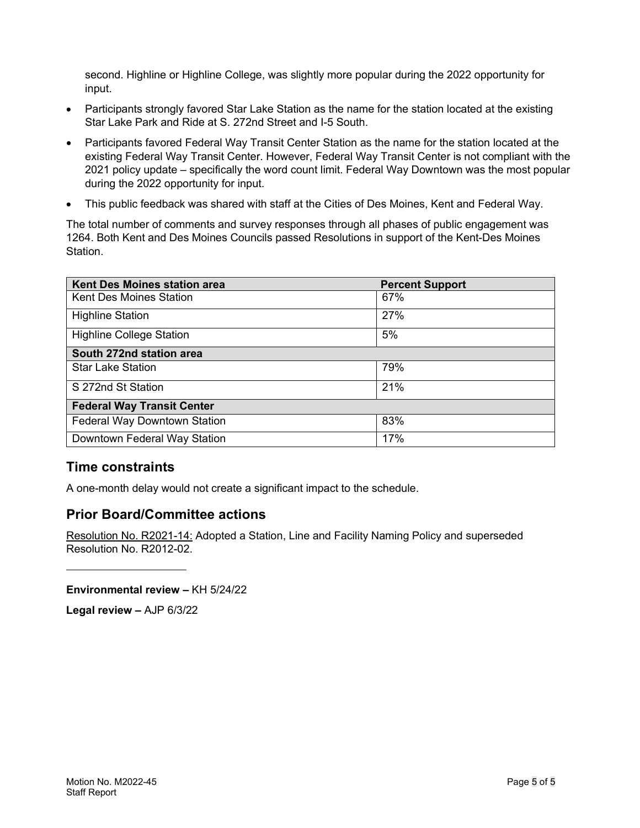second. Highline or Highline College, was slightly more popular during the 2022 opportunity for input.

- Participants strongly favored Star Lake Station as the name for the station located at the existing Star Lake Park and Ride at S. 272nd Street and I-5 South.
- Participants favored Federal Way Transit Center Station as the name for the station located at the existing Federal Way Transit Center. However, Federal Way Transit Center is not compliant with the 2021 policy update – specifically the word count limit. Federal Way Downtown was the most popular during the 2022 opportunity for input.
- This public feedback was shared with staff at the Cities of Des Moines, Kent and Federal Way.

The total number of comments and survey responses through all phases of public engagement was 1264. Both Kent and Des Moines Councils passed Resolutions in support of the Kent-Des Moines Station.

| <b>Kent Des Moines station area</b> | <b>Percent Support</b> |
|-------------------------------------|------------------------|
| <b>Kent Des Moines Station</b>      | 67%                    |
| <b>Highline Station</b>             | 27%                    |
| <b>Highline College Station</b>     | 5%                     |
| South 272nd station area            |                        |
| <b>Star Lake Station</b>            | 79%                    |
| S 272nd St Station                  | 21%                    |
| <b>Federal Way Transit Center</b>   |                        |
| Federal Way Downtown Station        | 83%                    |
| Downtown Federal Way Station        | 17%                    |

#### **Time constraints**

A one-month delay would not create a significant impact to the schedule.

#### **Prior Board/Committee actions**

Resolution No. R2021-14: Adopted a Station, Line and Facility Naming Policy and superseded Resolution No. R2012-02.

**Environmental review –** KH 5/24/22

**Legal review –** AJP 6/3/22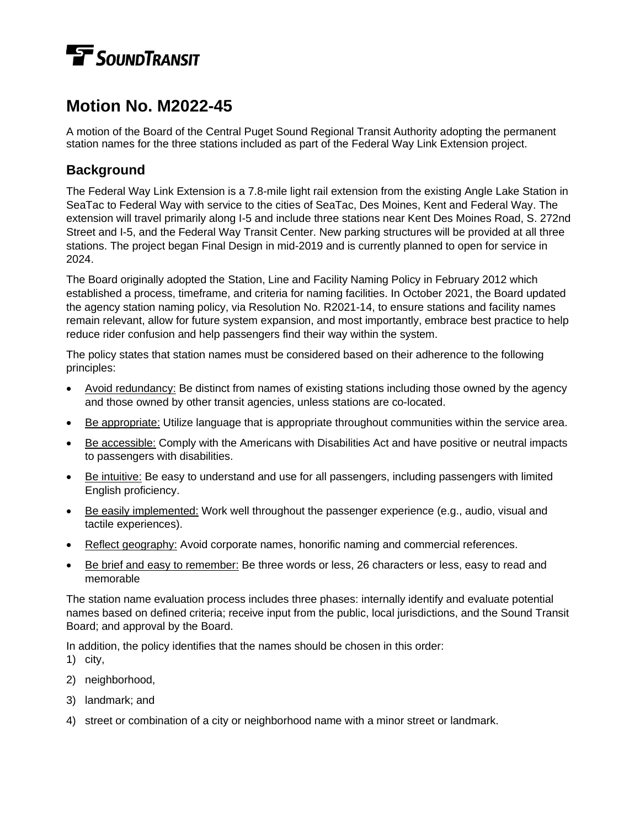# **TE** SOUNDTRANSIT

## **Motion No. M2022-45**

A motion of the Board of the Central Puget Sound Regional Transit Authority adopting the permanent station names for the three stations included as part of the Federal Way Link Extension project.

#### **Background**

The Federal Way Link Extension is a 7.8-mile light rail extension from the existing Angle Lake Station in SeaTac to Federal Way with service to the cities of SeaTac, Des Moines, Kent and Federal Way. The extension will travel primarily along I-5 and include three stations near Kent Des Moines Road, S. 272nd Street and I-5, and the Federal Way Transit Center. New parking structures will be provided at all three stations. The project began Final Design in mid-2019 and is currently planned to open for service in 2024.

The Board originally adopted the Station, Line and Facility Naming Policy in February 2012 which established a process, timeframe, and criteria for naming facilities. In October 2021, the Board updated the agency station naming policy, via Resolution No. R2021-14, to ensure stations and facility names remain relevant, allow for future system expansion, and most importantly, embrace best practice to help reduce rider confusion and help passengers find their way within the system.

The policy states that station names must be considered based on their adherence to the following principles:

- Avoid redundancy: Be distinct from names of existing stations including those owned by the agency and those owned by other transit agencies, unless stations are co-located.
- Be appropriate: Utilize language that is appropriate throughout communities within the service area.
- Be accessible: Comply with the Americans with Disabilities Act and have positive or neutral impacts to passengers with disabilities.
- Be intuitive: Be easy to understand and use for all passengers, including passengers with limited English proficiency.
- Be easily implemented: Work well throughout the passenger experience (e.g., audio, visual and tactile experiences).
- Reflect geography: Avoid corporate names, honorific naming and commercial references.
- Be brief and easy to remember: Be three words or less, 26 characters or less, easy to read and memorable

The station name evaluation process includes three phases: internally identify and evaluate potential names based on defined criteria; receive input from the public, local jurisdictions, and the Sound Transit Board; and approval by the Board.

In addition, the policy identifies that the names should be chosen in this order:

1) city,

- 2) neighborhood,
- 3) landmark; and
- 4) street or combination of a city or neighborhood name with a minor street or landmark.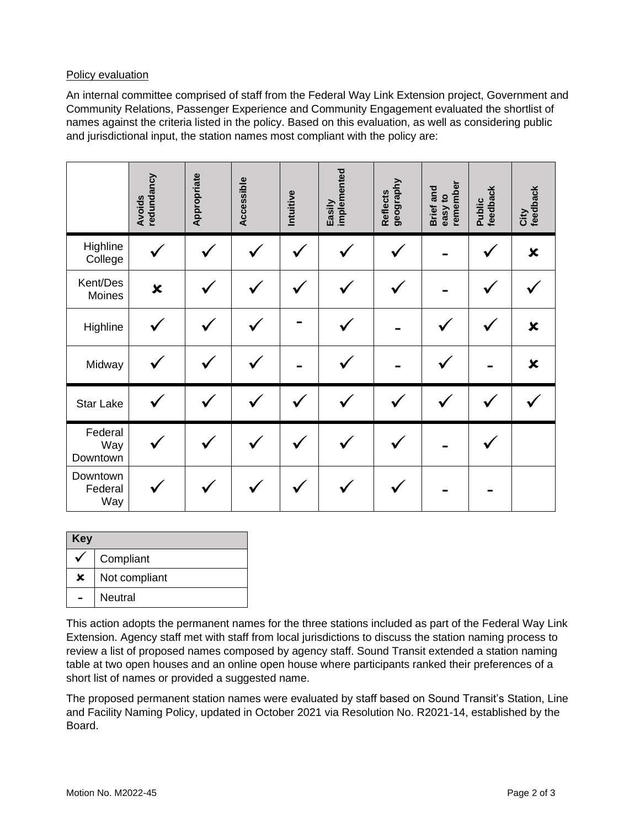#### Policy evaluation

An internal committee comprised of staff from the Federal Way Link Extension project, Government and Community Relations, Passenger Experience and Community Engagement evaluated the shortlist of names against the criteria listed in the policy. Based on this evaluation, as well as considering public and jurisdictional input, the station names most compliant with the policy are:

|                            | redundancy<br><b>Avoids</b> | Appropriate | Accessible | Intuitive | Easily<br>implemented | geography<br><b>Reflects</b> | remember<br>Brief and<br>easy to | Public<br>feedback | City<br>feedback          |
|----------------------------|-----------------------------|-------------|------------|-----------|-----------------------|------------------------------|----------------------------------|--------------------|---------------------------|
| Highline<br>College        |                             |             |            |           |                       |                              |                                  |                    | ×                         |
| Kent/Des<br>Moines         | $\boldsymbol{\mathsf{x}}$   |             |            |           |                       |                              |                                  |                    |                           |
| Highline                   |                             |             |            |           |                       |                              |                                  |                    | $\boldsymbol{\mathsf{x}}$ |
| Midway                     |                             |             |            |           |                       |                              |                                  |                    | $\boldsymbol{\mathsf{x}}$ |
| <b>Star Lake</b>           |                             |             |            |           |                       |                              |                                  |                    |                           |
| Federal<br>Way<br>Downtown |                             |             |            |           |                       |                              |                                  |                    |                           |
| Downtown<br>Federal<br>Way |                             |             |            |           |                       |                              |                                  |                    |                           |

| Key |               |  |  |  |  |  |
|-----|---------------|--|--|--|--|--|
|     | Compliant     |  |  |  |  |  |
| ×   | Not compliant |  |  |  |  |  |
|     | Neutral       |  |  |  |  |  |

This action adopts the permanent names for the three stations included as part of the Federal Way Link Extension. Agency staff met with staff from local jurisdictions to discuss the station naming process to review a list of proposed names composed by agency staff. Sound Transit extended a station naming table at two open houses and an online open house where participants ranked their preferences of a short list of names or provided a suggested name.

The proposed permanent station names were evaluated by staff based on Sound Transit's Station, Line and Facility Naming Policy, updated in October 2021 via Resolution No. R2021-14, established by the Board.